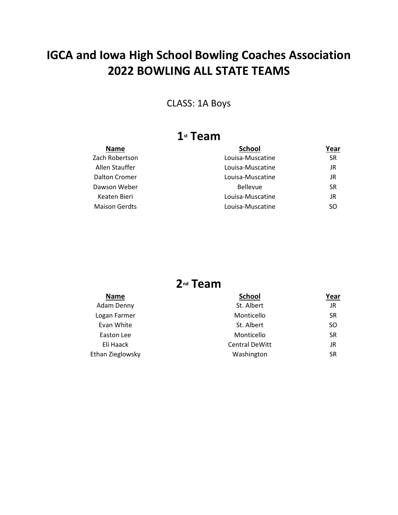#### CLASS: 1A Boys

### **1st Team**

| Name                 | <b>School</b>    | Year |
|----------------------|------------------|------|
| Zach Robertson       | Louisa-Muscatine | SR   |
| Allen Stauffer       | Louisa-Muscatine | JR   |
| Dalton Cromer        | Louisa-Muscatine | JR   |
| Dawson Weber         | <b>Bellevue</b>  | SR   |
| Keaten Bieri         | Louisa-Muscatine | JR   |
| <b>Maison Gerdts</b> | Louisa-Muscatine | SO.  |
|                      |                  |      |

| <b>Name</b>      | <b>School</b>         | Year      |
|------------------|-----------------------|-----------|
| Adam Denny       | St. Albert            | JR        |
| Logan Farmer     | Monticello            | <b>SR</b> |
| Evan White       | St. Albert            | SO        |
| Easton Lee       | Monticello            | <b>SR</b> |
| Eli Haack        | <b>Central DeWitt</b> | JR        |
| Ethan Zieglowsky | Washington            | SR        |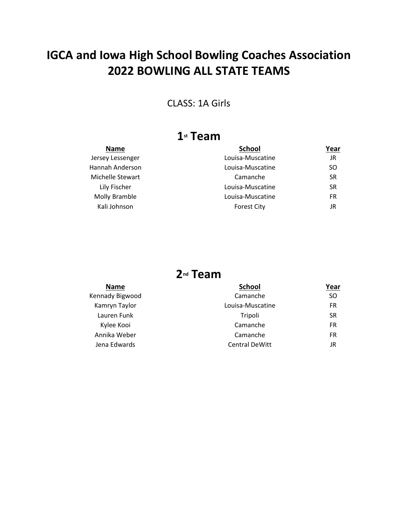CLASS: 1A Girls

### **1st Team**

| <b>Name</b>      | <b>School</b>      | Year |
|------------------|--------------------|------|
| Jersey Lessenger | Louisa-Muscatine   | JR   |
| Hannah Anderson  | Louisa-Muscatine   | SO.  |
| Michelle Stewart | Camanche           | SR   |
| Lily Fischer     | Louisa-Muscatine   | SR   |
| Molly Bramble    | Louisa-Muscatine   | FR   |
| Kali Johnson     | <b>Forest City</b> | JR   |
|                  |                    |      |

| <b>Name</b>     | <b>School</b>         | Year      |
|-----------------|-----------------------|-----------|
| Kennady Bigwood | Camanche              | SO.       |
| Kamryn Taylor   | Louisa-Muscatine      | FR        |
| Lauren Funk     | Tripoli               | <b>SR</b> |
| Kylee Kooi      | Camanche              | FR        |
| Annika Weber    | Camanche              | FR        |
| Jena Edwards    | <b>Central DeWitt</b> | JR        |
|                 |                       |           |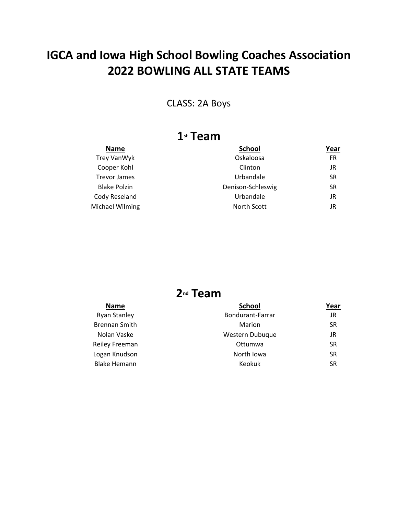CLASS: 2A Boys

### **1st Team**

| <b>Name</b>         | <b>School</b>     | Year      |
|---------------------|-------------------|-----------|
| Trey VanWyk         | Oskaloosa         | FR        |
| Cooper Kohl         | Clinton           | JR        |
| <b>Trevor James</b> | Urbandale         | <b>SR</b> |
| <b>Blake Polzin</b> | Denison-Schleswig | SR        |
| Cody Reseland       | Urbandale         | JR        |
| Michael Wilming     | North Scott       | JR        |
|                     |                   |           |

| <b>Name</b>          | <b>School</b>    | Year      |
|----------------------|------------------|-----------|
| <b>Ryan Stanley</b>  | Bondurant-Farrar | JR        |
| <b>Brennan Smith</b> | Marion           | SR        |
| Nolan Vaske          | Western Dubuque  | JR        |
| Reiley Freeman       | Ottumwa          | SR        |
| Logan Knudson        | North Iowa       | <b>SR</b> |
| <b>Blake Hemann</b>  | Keokuk           | SR        |
|                      |                  |           |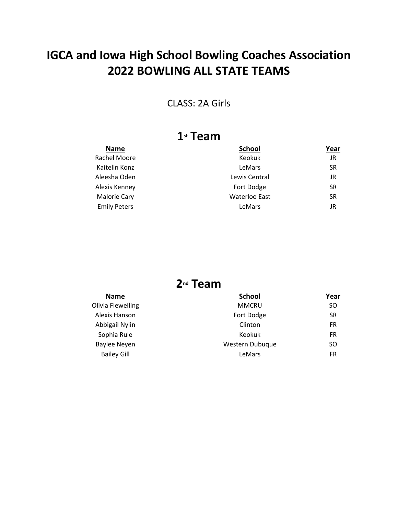#### CLASS: 2A Girls

### **1st Team**

| <b>Name</b>         | <b>School</b>        | Year      |
|---------------------|----------------------|-----------|
| Rachel Moore        | Keokuk               | JR        |
| Kaitelin Konz       | LeMars               | <b>SR</b> |
| Aleesha Oden        | Lewis Central        | JR        |
| Alexis Kenney       | Fort Dodge           | <b>SR</b> |
| <b>Malorie Cary</b> | <b>Waterloo East</b> | <b>SR</b> |
| <b>Emily Peters</b> | LeMars               | JR        |
|                     |                      |           |

| <b>Name</b>        | <b>School</b>   | Year      |
|--------------------|-----------------|-----------|
| Olivia Flewelling  | <b>MMCRU</b>    | SO.       |
| Alexis Hanson      | Fort Dodge      | <b>SR</b> |
| Abbigail Nylin     | Clinton         | FR        |
| Sophia Rule        | Keokuk          | FR        |
| Baylee Neyen       | Western Dubuque | SO.       |
| <b>Bailey Gill</b> | LeMars          | FR        |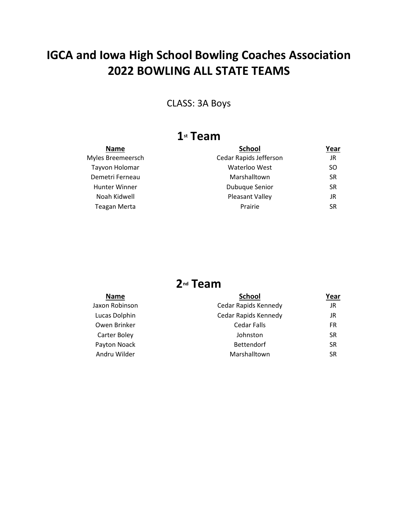CLASS: 3A Boys

## **1st Team**

| <b>Name</b>          | <b>School</b>          | Year      |
|----------------------|------------------------|-----------|
| Myles Breemeersch    | Cedar Rapids Jefferson | JR        |
| Tayvon Holomar       | Waterloo West          | SO.       |
| Demetri Ferneau      | Marshalltown           | <b>SR</b> |
| <b>Hunter Winner</b> | <b>Dubuque Senior</b>  | SR        |
| Noah Kidwell         | Pleasant Valley        | JR        |
| <b>Teagan Merta</b>  | Prairie                | <b>SR</b> |
|                      |                        |           |

| <b>Name</b>    | <b>School</b>        | Year |
|----------------|----------------------|------|
| Jaxon Robinson | Cedar Rapids Kennedy | JR   |
| Lucas Dolphin  | Cedar Rapids Kennedy | JR   |
| Owen Brinker   | Cedar Falls          | FR   |
| Carter Boley   | Johnston             | SR   |
| Payton Noack   | <b>Bettendorf</b>    | SR   |
| Andru Wilder   | Marshalltown         | SR   |